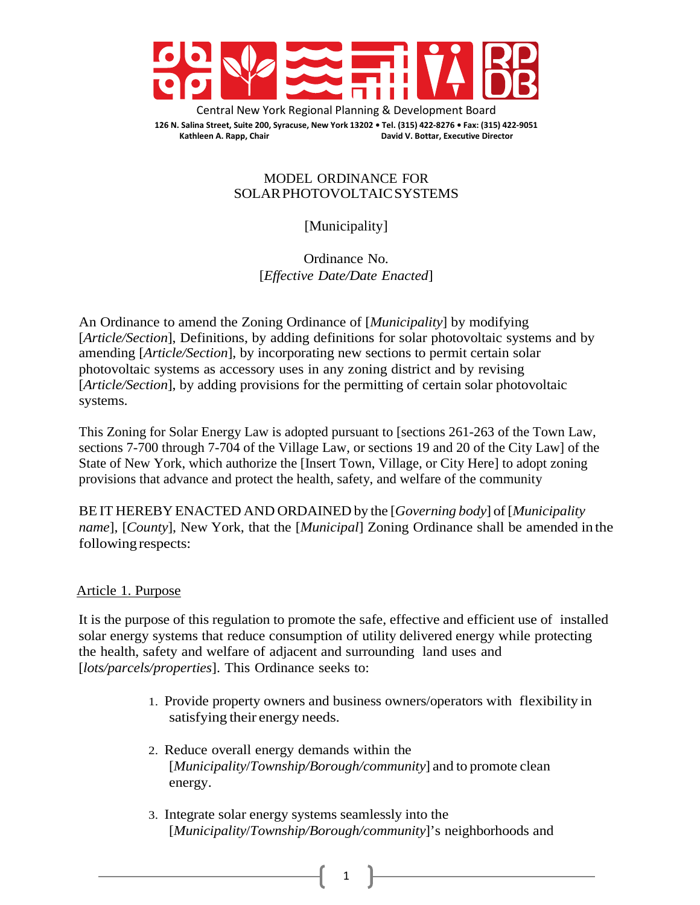

Central New York Regional Planning & Development Board **126 N. Salina Street, Suite 200, Syracuse, New York 13202 • Tel. (315) 422-8276 • Fax: (315) 422-9051 Kathleen A. Rapp, Chair David V. Bottar, Executive Director**

### MODEL ORDINANCE FOR SOLARPHOTOVOLTAICSYSTEMS

[Municipality]

Ordinance No. [*Effective Date/Date Enacted*]

An Ordinance to amend the Zoning Ordinance of [*Municipality*] by modifying [*Article/Section*], Definitions, by adding definitions for solar photovoltaic systems and by amending [*Article/Section*], by incorporating new sections to permit certain solar photovoltaic systems as accessory uses in any zoning district and by revising [*Article/Section*], by adding provisions for the permitting of certain solar photovoltaic systems.

This Zoning for Solar Energy Law is adopted pursuant to [sections 261-263 of the Town Law, sections 7-700 through 7-704 of the Village Law, or sections 19 and 20 of the City Law] of the State of New York, which authorize the [Insert Town, Village, or City Here] to adopt zoning provisions that advance and protect the health, safety, and welfare of the community

BE IT HEREBY ENACTED AND ORDAINED by the [*Governing body*] of[*Municipality name*], [*County*], New York, that the [*Municipal*] Zoning Ordinance shall be amended in the following respects:

# Article 1. Purpose

It is the purpose of this regulation to promote the safe, effective and efficient use of installed solar energy systems that reduce consumption of utility delivered energy while protecting the health, safety and welfare of adjacent and surrounding land uses and [*lots/parcels/properties*]. This Ordinance seeks to:

- 1. Provide property owners and business owners/operators with flexibility in satisfying their energy needs.
- 2. Reduce overall energy demands within the [*Municipality*/*Township/Borough/community*] and to promote clean energy.
- 3. Integrate solar energy systems seamlessly into the [*Municipality*/*Township/Borough/community*]'s neighborhoods and

1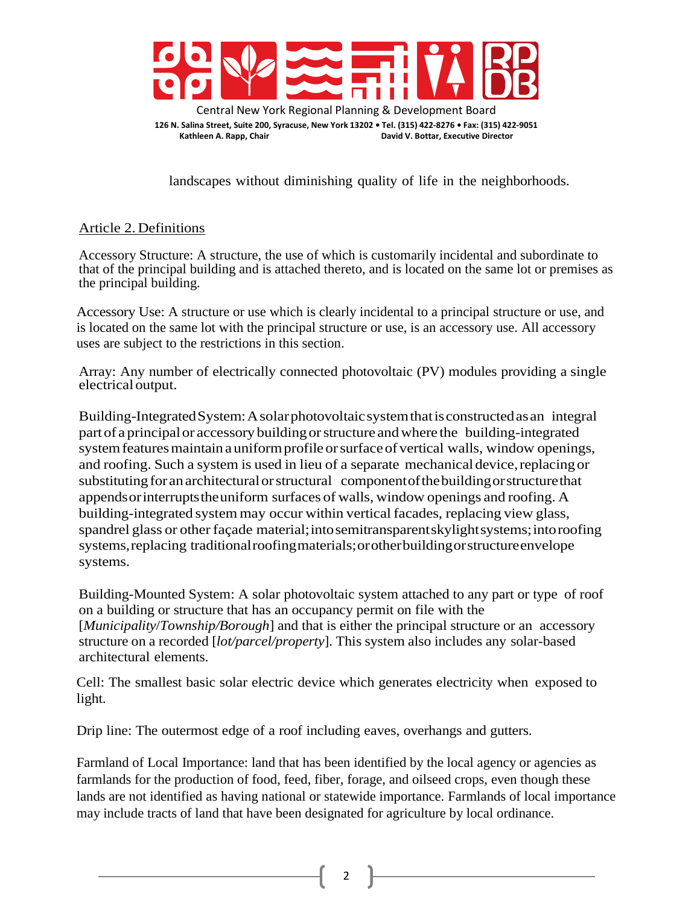

landscapes without diminishing quality of life in the neighborhoods.

# Article 2. Definitions

Accessory Structure: A structure, the use of which is customarily incidental and subordinate to that of the principal building and is attached thereto, and is located on the same lot or premises as the principal building.

Accessory Use: A structure or use which is clearly incidental to a principal structure or use, and is located on the same lot with the principal structure or use, is an accessory use. All accessory uses are subject to the restrictions in this section.

Array: Any number of electrically connected photovoltaic (PV) modules providing a single electrical output.

Building-IntegratedSystem:Asolarphotovoltaicsystemthatisconstructedasan integral partof a principalor accessory building orstructure andwhere the building-integrated system features maintain a uniform profile or surface of vertical walls, window openings, and roofing. Such a system is used in lieu of a separate mechanicaldevice,replacingor substituting for an architectural or structural component of the building or structure that appendsorinterruptstheuniform surfaces of walls, window openings and roofing. A building-integrated system may occur within vertical facades, replacing view glass, spandrel glass or other façade material;intosemitransparentskylightsystems;intoroofing systems,replacing traditionalroofingmaterials;orotherbuildingorstructureenvelope systems.

Building-Mounted System: A solar photovoltaic system attached to any part or type of roof on a building or structure that has an occupancy permit on file with the [*Municipality*/*Township/Borough*] and that is either the principal structure or an accessory structure on a recorded [*lot/parcel/property*]. This system also includes any solar-based architectural elements.

Cell: The smallest basic solar electric device which generates electricity when exposed to light.

Drip line: The outermost edge of a roof including eaves, overhangs and gutters.

Farmland of Local Importance: land that has been identified by the local agency or agencies as farmlands for the production of food, feed, fiber, forage, and oilseed crops, even though these lands are not identified as having national or statewide importance. Farmlands of local importance may include tracts of land that have been designated for agriculture by local ordinance.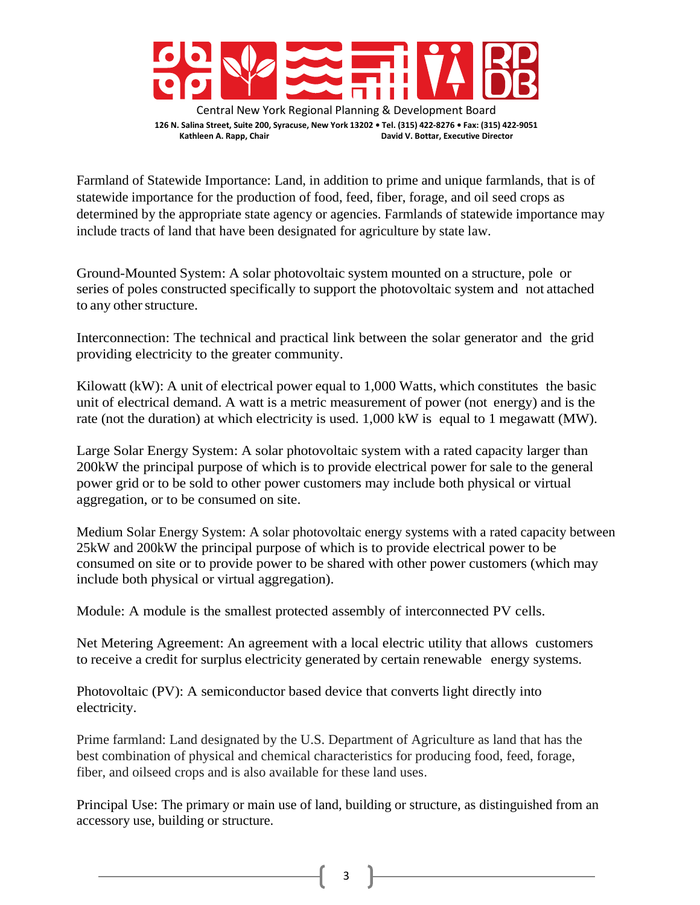

Farmland of Statewide Importance: Land, in addition to prime and unique farmlands, that is of statewide importance for the production of food, feed, fiber, forage, and oil seed crops as determined by the appropriate state agency or agencies. Farmlands of statewide importance may include tracts of land that have been designated for agriculture by state law.

Ground-Mounted System: A solar photovoltaic system mounted on a structure, pole or series of poles constructed specifically to support the photovoltaic system and not attached to any other structure.

Interconnection: The technical and practical link between the solar generator and the grid providing electricity to the greater community.

Kilowatt (kW): A unit of electrical power equal to 1,000 Watts, which constitutes the basic unit of electrical demand. A watt is a metric measurement of power (not energy) and is the rate (not the duration) at which electricity is used. 1,000 kW is equal to 1 megawatt (MW).

Large Solar Energy System: A solar photovoltaic system with a rated capacity larger than 200kW the principal purpose of which is to provide electrical power for sale to the general power grid or to be sold to other power customers may include both physical or virtual aggregation, or to be consumed on site.

Medium Solar Energy System: A solar photovoltaic energy systems with a rated capacity between 25kW and 200kW the principal purpose of which is to provide electrical power to be consumed on site or to provide power to be shared with other power customers (which may include both physical or virtual aggregation).

Module: A module is the smallest protected assembly of interconnected PV cells.

Net Metering Agreement: An agreement with a local electric utility that allows customers to receive a credit for surplus electricity generated by certain renewable energy systems.

Photovoltaic (PV): A semiconductor based device that converts light directly into electricity.

Prime farmland: Land designated by the U.S. Department of Agriculture as land that has the best combination of physical and chemical characteristics for producing food, feed, forage, fiber, and oilseed crops and is also available for these land uses.

Principal Use: The primary or main use of land, building or structure, as distinguished from an accessory use, building or structure.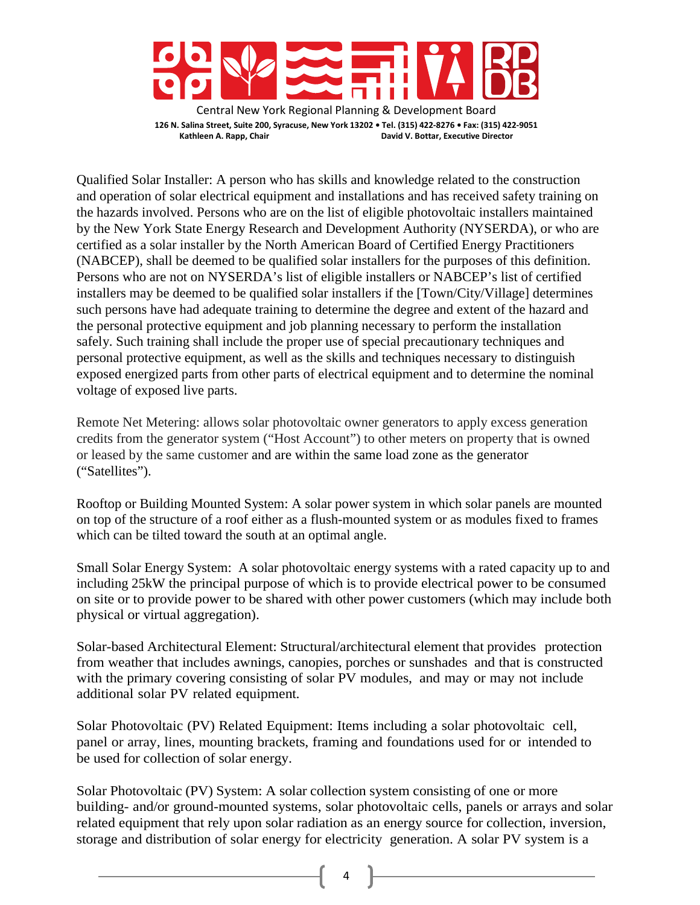

Qualified Solar Installer: A person who has skills and knowledge related to the construction and operation of solar electrical equipment and installations and has received safety training on the hazards involved. Persons who are on the list of eligible photovoltaic installers maintained by the New York State Energy Research and Development Authority (NYSERDA), or who are certified as a solar installer by the North American Board of Certified Energy Practitioners (NABCEP), shall be deemed to be qualified solar installers for the purposes of this definition. Persons who are not on NYSERDA's list of eligible installers or NABCEP's list of certified installers may be deemed to be qualified solar installers if the [Town/City/Village] determines such persons have had adequate training to determine the degree and extent of the hazard and the personal protective equipment and job planning necessary to perform the installation safely. Such training shall include the proper use of special precautionary techniques and personal protective equipment, as well as the skills and techniques necessary to distinguish exposed energized parts from other parts of electrical equipment and to determine the nominal voltage of exposed live parts.

Remote Net Metering: allows solar photovoltaic owner generators to apply excess generation credits from the generator system ("Host Account") to other meters on property that is owned or leased by the same customer and are within the same load zone as the generator ("Satellites").

Rooftop or Building Mounted System: A solar power system in which solar panels are mounted on top of the structure of a roof either as a flush-mounted system or as modules fixed to frames which can be tilted toward the south at an optimal angle.

Small Solar Energy System: A solar photovoltaic energy systems with a rated capacity up to and including 25kW the principal purpose of which is to provide electrical power to be consumed on site or to provide power to be shared with other power customers (which may include both physical or virtual aggregation).

Solar-based Architectural Element: Structural/architectural element that provides protection from weather that includes awnings, canopies, porches or sunshades and that is constructed with the primary covering consisting of solar PV modules, and may or may not include additional solar PV related equipment.

Solar Photovoltaic (PV) Related Equipment: Items including a solar photovoltaic cell, panel or array, lines, mounting brackets, framing and foundations used for or intended to be used for collection of solar energy.

Solar Photovoltaic (PV) System: A solar collection system consisting of one or more building- and/or ground-mounted systems, solar photovoltaic cells, panels or arrays and solar related equipment that rely upon solar radiation as an energy source for collection, inversion, storage and distribution of solar energy for electricity generation. A solar PV system is a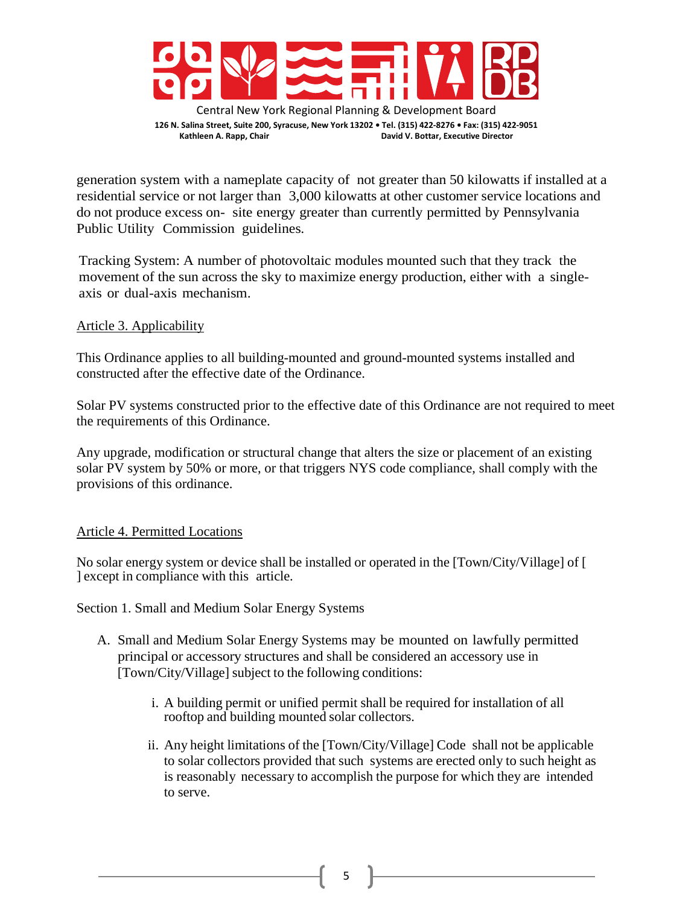

Central New York Regional Planning & Development Board **126 N. Salina Street, Suite 200, Syracuse, New York 13202 • Tel. (315) 422-8276 • Fax: (315) 422-9051 Kathleen A. Rapp, Chair David V. Bottar, Executive Director**

generation system with a nameplate capacity of not greater than 50 kilowatts if installed at a residential service or not larger than 3,000 kilowatts at other customer service locations and do not produce excess on- site energy greater than currently permitted by Pennsylvania Public Utility Commission guidelines.

Tracking System: A number of photovoltaic modules mounted such that they track the movement of the sun across the sky to maximize energy production, either with a singleaxis or dual-axis mechanism.

### Article 3. Applicability

This Ordinance applies to all building-mounted and ground-mounted systems installed and constructed after the effective date of the Ordinance.

Solar PV systems constructed prior to the effective date of this Ordinance are not required to meet the requirements of this Ordinance.

Any upgrade, modification or structural change that alters the size or placement of an existing solar PV system by 50% or more, or that triggers NYS code compliance, shall comply with the provisions of this ordinance.

# Article 4. Permitted Locations

No solar energy system or device shall be installed or operated in the [Town/City/Village] of [ ] except in compliance with this article.

# Section 1. Small and Medium Solar Energy Systems

- A. Small and Medium Solar Energy Systems may be mounted on lawfully permitted principal or accessory structures and shall be considered an accessory use in [Town/City/Village] subject to the following conditions:
	- i. A building permit or unified permit shall be required for installation of all rooftop and building mounted solar collectors.
	- ii. Any height limitations of the [Town/City/Village] Code shall not be applicable to solar collectors provided that such systems are erected only to such height as is reasonably necessary to accomplish the purpose for which they are intended to serve.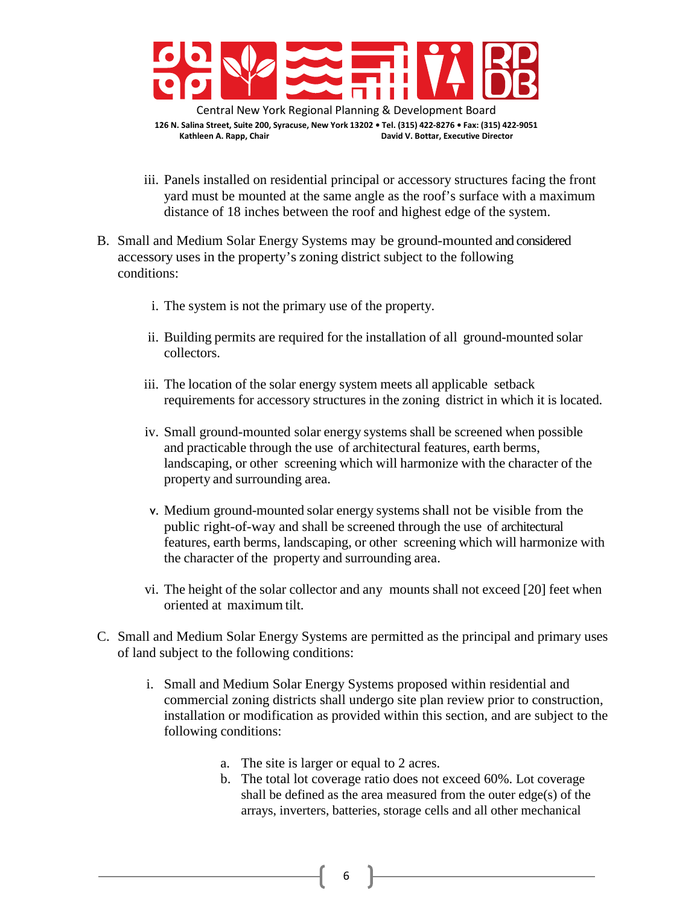

- iii. Panels installed on residential principal or accessory structures facing the front yard must be mounted at the same angle as the roof's surface with a maximum distance of 18 inches between the roof and highest edge of the system.
- B. Small and Medium Solar Energy Systems may be ground-mounted and considered accessory uses in the property's zoning district subject to the following conditions:
	- i. The system is not the primary use of the property.
	- ii. Building permits are required for the installation of all ground-mounted solar collectors.
	- iii. The location of the solar energy system meets all applicable setback requirements for accessory structures in the zoning district in which it is located.
	- iv. Small ground-mounted solar energy systems shall be screened when possible and practicable through the use of architectural features, earth berms, landscaping, or other screening which will harmonize with the character of the property and surrounding area.
	- v. Medium ground-mounted solar energy systems shall not be visible from the public right-of-way and shall be screened through the use of architectural features, earth berms, landscaping, or other screening which will harmonize with the character of the property and surrounding area.
	- vi. The height of the solar collector and any mounts shall not exceed [20] feet when oriented at maximum tilt.
- C. Small and Medium Solar Energy Systems are permitted as the principal and primary uses of land subject to the following conditions:
	- i. Small and Medium Solar Energy Systems proposed within residential and commercial zoning districts shall undergo site plan review prior to construction, installation or modification as provided within this section, and are subject to the following conditions:
		- a. The site is larger or equal to 2 acres.
		- b. The total lot coverage ratio does not exceed 60%. Lot coverage shall be defined as the area measured from the outer edge(s) of the arrays, inverters, batteries, storage cells and all other mechanical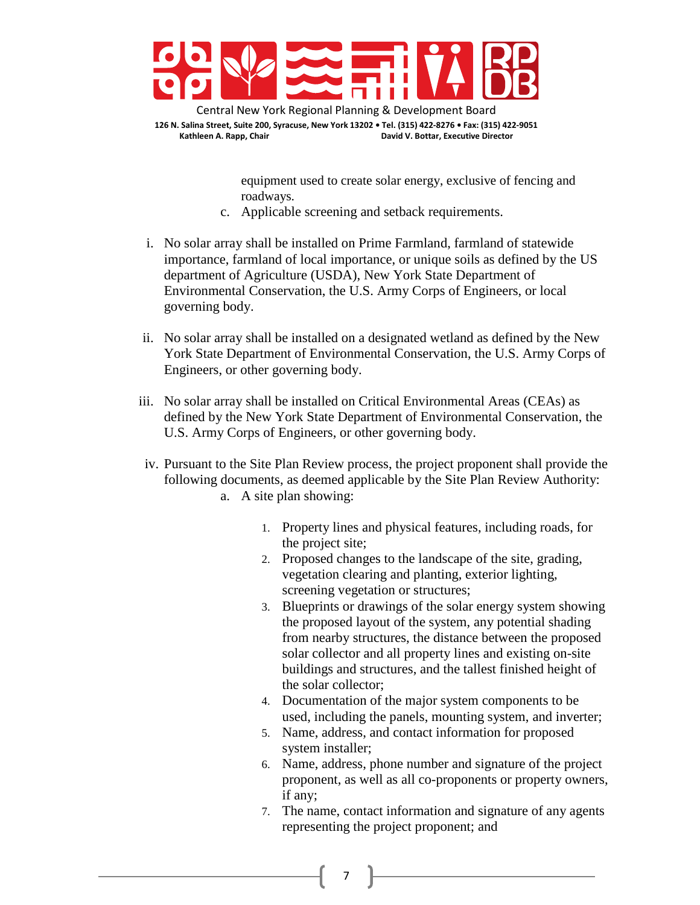

> equipment used to create solar energy, exclusive of fencing and roadways.

- c. Applicable screening and setback requirements.
- i. No solar array shall be installed on Prime Farmland, farmland of statewide importance, farmland of local importance, or unique soils as defined by the US department of Agriculture (USDA), New York State Department of Environmental Conservation, the U.S. Army Corps of Engineers, or local governing body.
- ii. No solar array shall be installed on a designated wetland as defined by the New York State Department of Environmental Conservation, the U.S. Army Corps of Engineers, or other governing body.
- iii. No solar array shall be installed on Critical Environmental Areas (CEAs) as defined by the New York State Department of Environmental Conservation, the U.S. Army Corps of Engineers, or other governing body.
- iv. Pursuant to the Site Plan Review process, the project proponent shall provide the following documents, as deemed applicable by the Site Plan Review Authority: a. A site plan showing:
	- 1. Property lines and physical features, including roads, for the project site;
	- 2. Proposed changes to the landscape of the site, grading, vegetation clearing and planting, exterior lighting, screening vegetation or structures;
	- 3. Blueprints or drawings of the solar energy system showing the proposed layout of the system, any potential shading from nearby structures, the distance between the proposed solar collector and all property lines and existing on-site buildings and structures, and the tallest finished height of the solar collector;
	- 4. Documentation of the major system components to be used, including the panels, mounting system, and inverter;
	- 5. Name, address, and contact information for proposed system installer;
	- 6. Name, address, phone number and signature of the project proponent, as well as all co-proponents or property owners, if any;
	- 7. The name, contact information and signature of any agents representing the project proponent; and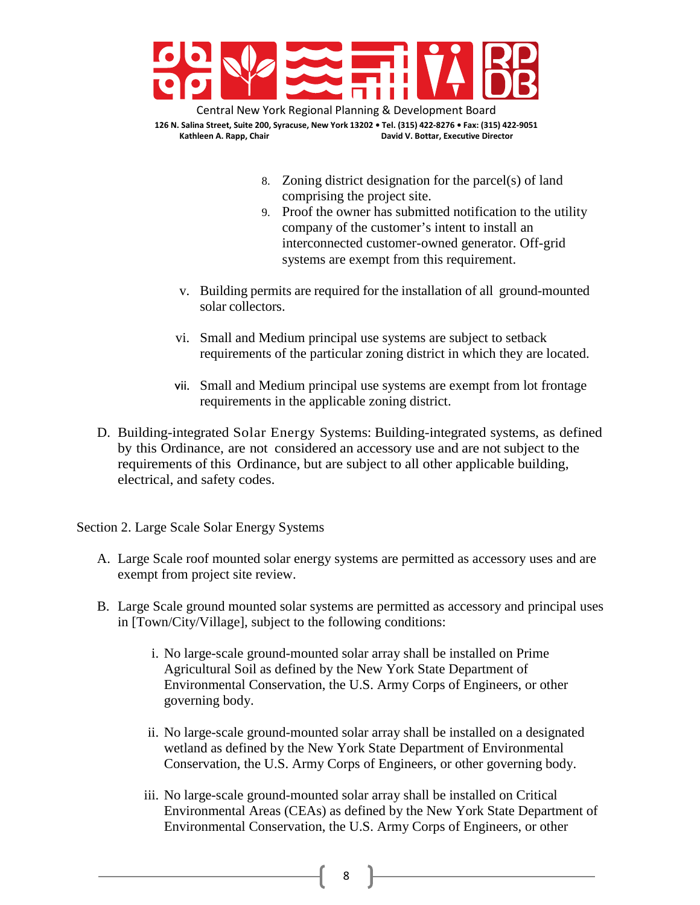

Central New York Regional Planning & Development Board **126 N. Salina Street, Suite 200, Syracuse, New York 13202 • Tel. (315) 422-8276 • Fax: (315) 422-9051 Kathleen A. Rapp, Chair David V. Bottar, Executive Director**

- 8. Zoning district designation for the parcel(s) of land comprising the project site.
- 9. Proof the owner has submitted notification to the utility company of the customer's intent to install an interconnected customer-owned generator. Off-grid systems are exempt from this requirement.
- v. Building permits are required for the installation of all ground-mounted solar collectors.
- vi. Small and Medium principal use systems are subject to setback requirements of the particular zoning district in which they are located.
- vii. Small and Medium principal use systems are exempt from lot frontage requirements in the applicable zoning district.
- D. Building-integrated Solar Energy Systems: Building-integrated systems, as defined by this Ordinance, are not considered an accessory use and are not subject to the requirements of this Ordinance, but are subject to all other applicable building, electrical, and safety codes.

Section 2. Large Scale Solar Energy Systems

- A. Large Scale roof mounted solar energy systems are permitted as accessory uses and are exempt from project site review.
- B. Large Scale ground mounted solar systems are permitted as accessory and principal uses in [Town/City/Village], subject to the following conditions:
	- i. No large-scale ground-mounted solar array shall be installed on Prime Agricultural Soil as defined by the New York State Department of Environmental Conservation, the U.S. Army Corps of Engineers, or other governing body.
	- ii. No large-scale ground-mounted solar array shall be installed on a designated wetland as defined by the New York State Department of Environmental Conservation, the U.S. Army Corps of Engineers, or other governing body.
	- iii. No large-scale ground-mounted solar array shall be installed on Critical Environmental Areas (CEAs) as defined by the New York State Department of Environmental Conservation, the U.S. Army Corps of Engineers, or other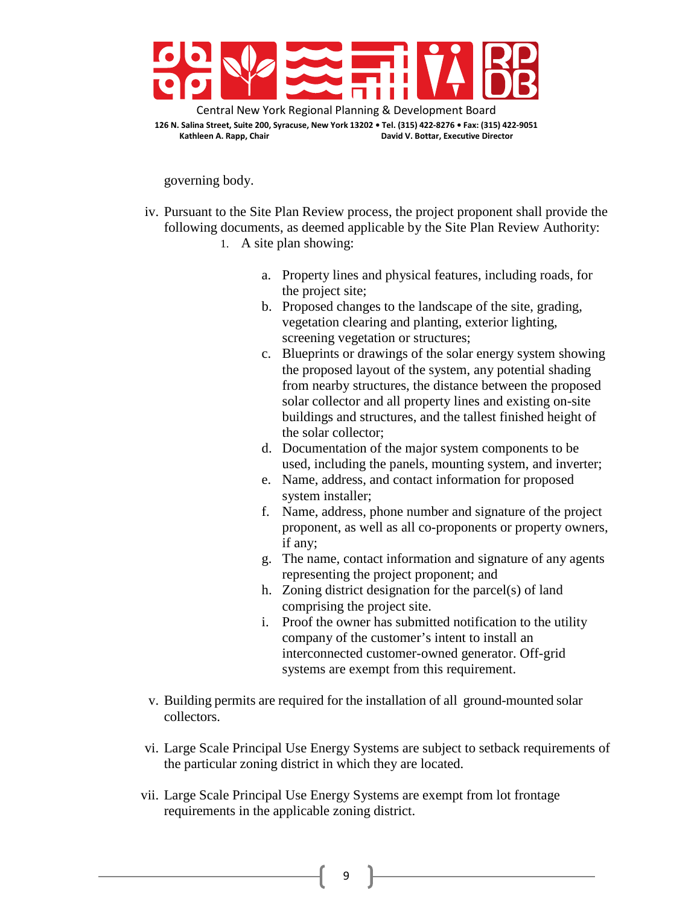

governing body.

- iv. Pursuant to the Site Plan Review process, the project proponent shall provide the following documents, as deemed applicable by the Site Plan Review Authority: 1. A site plan showing:
	- a. Property lines and physical features, including roads, for the project site;
	- b. Proposed changes to the landscape of the site, grading, vegetation clearing and planting, exterior lighting, screening vegetation or structures;
	- c. Blueprints or drawings of the solar energy system showing the proposed layout of the system, any potential shading from nearby structures, the distance between the proposed solar collector and all property lines and existing on-site buildings and structures, and the tallest finished height of the solar collector;
	- d. Documentation of the major system components to be used, including the panels, mounting system, and inverter;
	- e. Name, address, and contact information for proposed system installer;
	- f. Name, address, phone number and signature of the project proponent, as well as all co-proponents or property owners, if any;
	- g. The name, contact information and signature of any agents representing the project proponent; and
	- h. Zoning district designation for the parcel(s) of land comprising the project site.
	- i. Proof the owner has submitted notification to the utility company of the customer's intent to install an interconnected customer-owned generator. Off-grid systems are exempt from this requirement.
- v. Building permits are required for the installation of all ground-mounted solar collectors.
- vi. Large Scale Principal Use Energy Systems are subject to setback requirements of the particular zoning district in which they are located.
- vii. Large Scale Principal Use Energy Systems are exempt from lot frontage requirements in the applicable zoning district.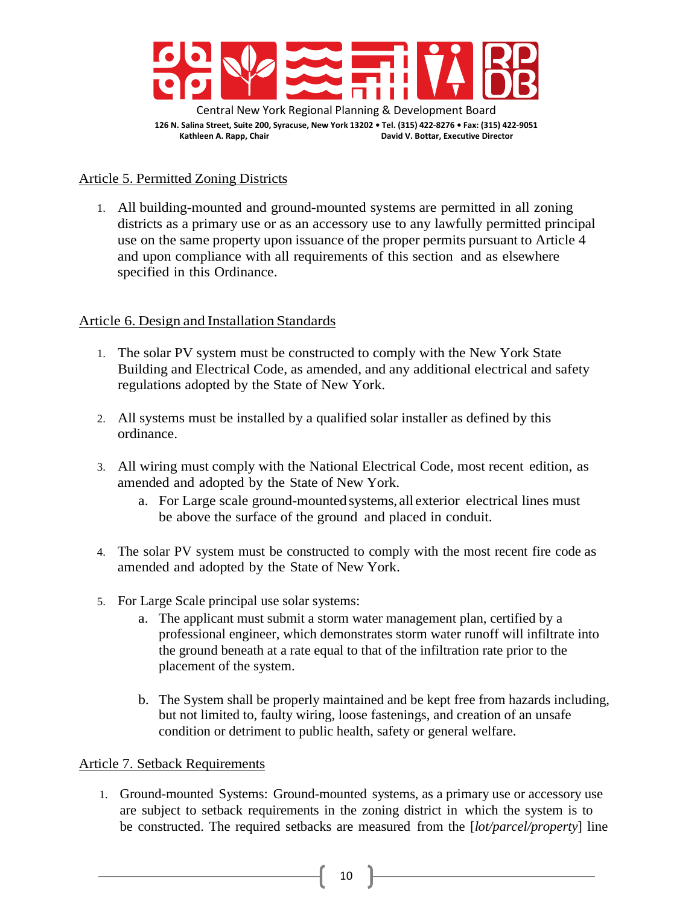

### Article 5. Permitted Zoning Districts

1. All building-mounted and ground-mounted systems are permitted in all zoning districts as a primary use or as an accessory use to any lawfully permitted principal use on the same property upon issuance of the proper permits pursuant to Article 4 and upon compliance with all requirements of this section and as elsewhere specified in this Ordinance.

### Article 6. Design and Installation Standards

- 1. The solar PV system must be constructed to comply with the New York State Building and Electrical Code, as amended, and any additional electrical and safety regulations adopted by the State of New York.
- 2. All systems must be installed by a qualified solar installer as defined by this ordinance.
- 3. All wiring must comply with the National Electrical Code, most recent edition, as amended and adopted by the State of New York.
	- a. For Large scale ground-mounted systems, all exterior electrical lines must be above the surface of the ground and placed in conduit.
- 4. The solar PV system must be constructed to comply with the most recent fire code as amended and adopted by the State of New York.
- 5. For Large Scale principal use solar systems:
	- a. The applicant must submit a storm water management plan, certified by a professional engineer, which demonstrates storm water runoff will infiltrate into the ground beneath at a rate equal to that of the infiltration rate prior to the placement of the system.
	- b. The System shall be properly maintained and be kept free from hazards including, but not limited to, faulty wiring, loose fastenings, and creation of an unsafe condition or detriment to public health, safety or general welfare.

### Article 7. Setback Requirements

1. Ground-mounted Systems: Ground-mounted systems, as a primary use or accessory use are subject to setback requirements in the zoning district in which the system is to be constructed. The required setbacks are measured from the [*lot/parcel/property*] line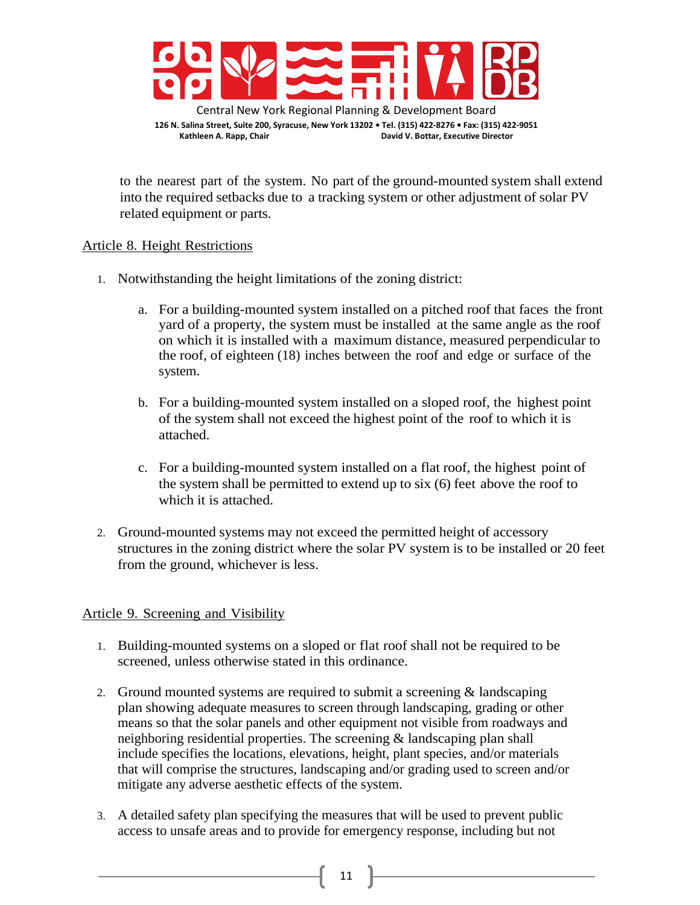

**Kathleen A. Rapp, Chair David V. Bottar, Executive Director**

to the nearest part of the system. No part of the ground-mounted system shall extend into the required setbacks due to a tracking system or other adjustment of solar PV related equipment or parts.

### Article 8. Height Restrictions

- 1. Notwithstanding the height limitations of the zoning district:
	- a. For a building-mounted system installed on a pitched roof that faces the front yard of a property, the system must be installed at the same angle as the roof on which it is installed with a maximum distance, measured perpendicular to the roof, of eighteen (18) inches between the roof and edge or surface of the system.
	- b. For a building-mounted system installed on a sloped roof, the highest point of the system shall not exceed the highest point of the roof to which it is attached.
	- c. For a building-mounted system installed on a flat roof, the highest point of the system shall be permitted to extend up to six (6) feet above the roof to which it is attached.
- 2. Ground-mounted systems may not exceed the permitted height of accessory structures in the zoning district where the solar PV system is to be installed or 20 feet from the ground, whichever is less.

# Article 9. Screening and Visibility

- 1. Building-mounted systems on a sloped or flat roof shall not be required to be screened, unless otherwise stated in this ordinance.
- 2. Ground mounted systems are required to submit a screening & landscaping plan showing adequate measures to screen through landscaping, grading or other means so that the solar panels and other equipment not visible from roadways and neighboring residential properties. The screening & landscaping plan shall include specifies the locations, elevations, height, plant species, and/or materials that will comprise the structures, landscaping and/or grading used to screen and/or mitigate any adverse aesthetic effects of the system.
- 3. A detailed safety plan specifying the measures that will be used to prevent public access to unsafe areas and to provide for emergency response, including but not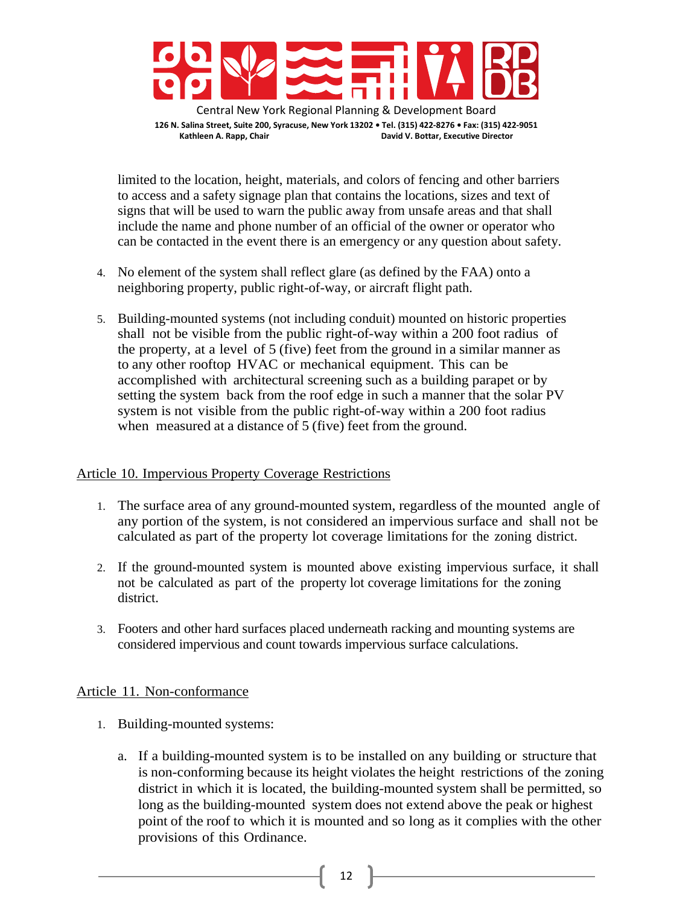

limited to the location, height, materials, and colors of fencing and other barriers to access and a safety signage plan that contains the locations, sizes and text of signs that will be used to warn the public away from unsafe areas and that shall include the name and phone number of an official of the owner or operator who can be contacted in the event there is an emergency or any question about safety.

- 4. No element of the system shall reflect glare (as defined by the FAA) onto a neighboring property, public right-of-way, or aircraft flight path.
- 5. Building-mounted systems (not including conduit) mounted on historic properties shall not be visible from the public right-of-way within a 200 foot radius of the property, at a level of 5 (five) feet from the ground in a similar manner as to any other rooftop HVAC or mechanical equipment. This can be accomplished with architectural screening such as a building parapet or by setting the system back from the roof edge in such a manner that the solar PV system is not visible from the public right-of-way within a 200 foot radius when measured at a distance of 5 (five) feet from the ground.

### Article 10. Impervious Property Coverage Restrictions

- 1. The surface area of any ground-mounted system, regardless of the mounted angle of any portion of the system, is not considered an impervious surface and shall not be calculated as part of the property lot coverage limitations for the zoning district.
- 2. If the ground-mounted system is mounted above existing impervious surface, it shall not be calculated as part of the property lot coverage limitations for the zoning district.
- 3. Footers and other hard surfaces placed underneath racking and mounting systems are considered impervious and count towards impervious surface calculations.

#### Article 11. Non-conformance

- 1. Building-mounted systems:
	- a. If a building-mounted system is to be installed on any building or structure that is non-conforming because its height violates the height restrictions of the zoning district in which it is located, the building-mounted system shall be permitted, so long as the building-mounted system does not extend above the peak or highest point of the roof to which it is mounted and so long as it complies with the other provisions of this Ordinance.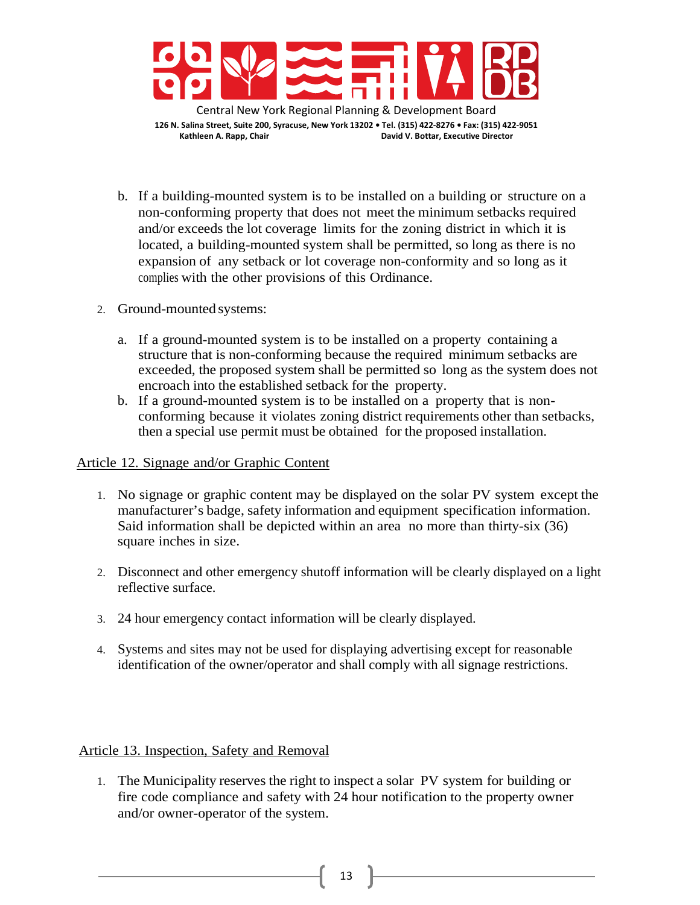

b. If a building-mounted system is to be installed on a building or structure on a non-conforming property that does not meet the minimum setbacks required and/or exceeds the lot coverage limits for the zoning district in which it is located, a building-mounted system shall be permitted, so long as there is no expansion of any setback or lot coverage non-conformity and so long as it complies with the other provisions of this Ordinance.

- 2. Ground-mounted systems:
	- a. If a ground-mounted system is to be installed on a property containing a structure that is non-conforming because the required minimum setbacks are exceeded, the proposed system shall be permitted so long as the system does not encroach into the established setback for the property.
	- b. If a ground-mounted system is to be installed on a property that is nonconforming because it violates zoning district requirements other than setbacks, then a special use permit must be obtained for the proposed installation.

### Article 12. Signage and/or Graphic Content

- 1. No signage or graphic content may be displayed on the solar PV system except the manufacturer's badge, safety information and equipment specification information. Said information shall be depicted within an area no more than thirty-six (36) square inches in size.
- 2. Disconnect and other emergency shutoff information will be clearly displayed on a light reflective surface.
- 3. 24 hour emergency contact information will be clearly displayed.
- 4. Systems and sites may not be used for displaying advertising except for reasonable identification of the owner/operator and shall comply with all signage restrictions.

# Article 13. Inspection, Safety and Removal

1. The Municipality reserves the right to inspect a solar PV system for building or fire code compliance and safety with 24 hour notification to the property owner and/or owner-operator of the system.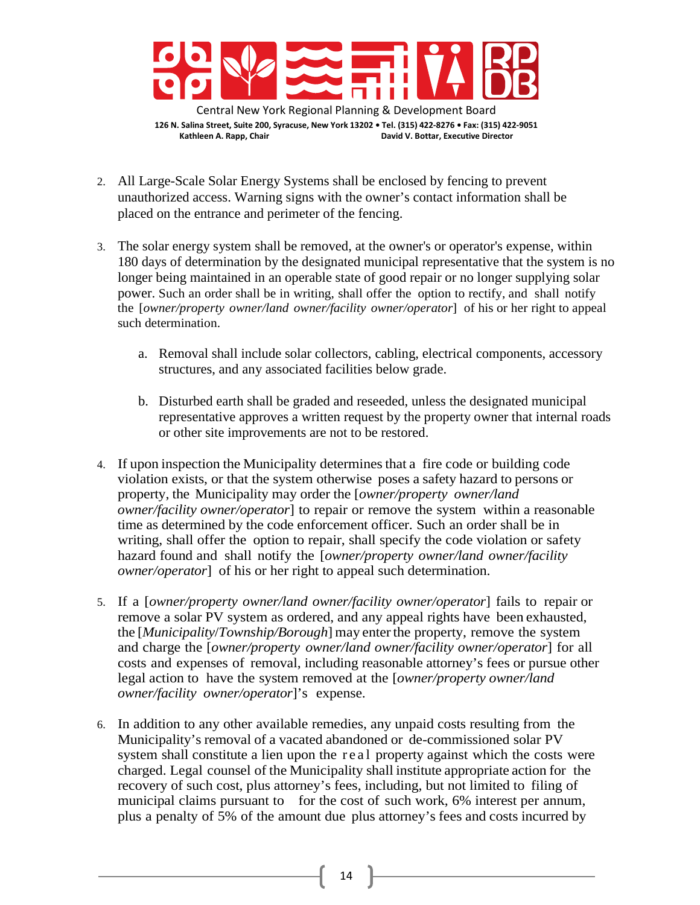

- 2. All Large-Scale Solar Energy Systems shall be enclosed by fencing to prevent unauthorized access. Warning signs with the owner's contact information shall be placed on the entrance and perimeter of the fencing.
- 3. The solar energy system shall be removed, at the owner's or operator's expense, within 180 days of determination by the designated municipal representative that the system is no longer being maintained in an operable state of good repair or no longer supplying solar power. Such an order shall be in writing, shall offer the option to rectify, and shall notify the [*owner/property owner/land owner/facility owner/operator*] of his or her right to appeal such determination.
	- a. Removal shall include solar collectors, cabling, electrical components, accessory structures, and any associated facilities below grade.
	- b. Disturbed earth shall be graded and reseeded, unless the designated municipal representative approves a written request by the property owner that internal roads or other site improvements are not to be restored.
- 4. If upon inspection the Municipality determinesthat a fire code or building code violation exists, or that the system otherwise poses a safety hazard to persons or property, the Municipality may order the [*owner/property owner/land owner/facility owner/operator*] to repair or remove the system within a reasonable time as determined by the code enforcement officer. Such an order shall be in writing, shall offer the option to repair, shall specify the code violation or safety hazard found and shall notify the [*owner/property owner/land owner/facility owner/operator*] of his or her right to appeal such determination.
- 5. If a [*owner/property owner/land owner/facility owner/operator*] fails to repair or remove a solar PV system as ordered, and any appeal rights have been exhausted, the [*Municipality*/*Township/Borough*] may enterthe property, remove the system and charge the [*owner/property owner/land owner/facility owner/operator*] for all costs and expenses of removal, including reasonable attorney's fees or pursue other legal action to have the system removed at the [*owner/property owner/land owner/facility owner/operator*]'s expense.
- 6. In addition to any other available remedies, any unpaid costs resulting from the Municipality's removal of a vacated abandoned or de-commissioned solar PV system shall constitute a lien upon the real property against which the costs were charged. Legal counsel of the Municipality shall institute appropriate action for the recovery of such cost, plus attorney's fees, including, but not limited to filing of municipal claims pursuant to for the cost of such work, 6% interest per annum, plus a penalty of 5% of the amount due plus attorney's fees and costs incurred by